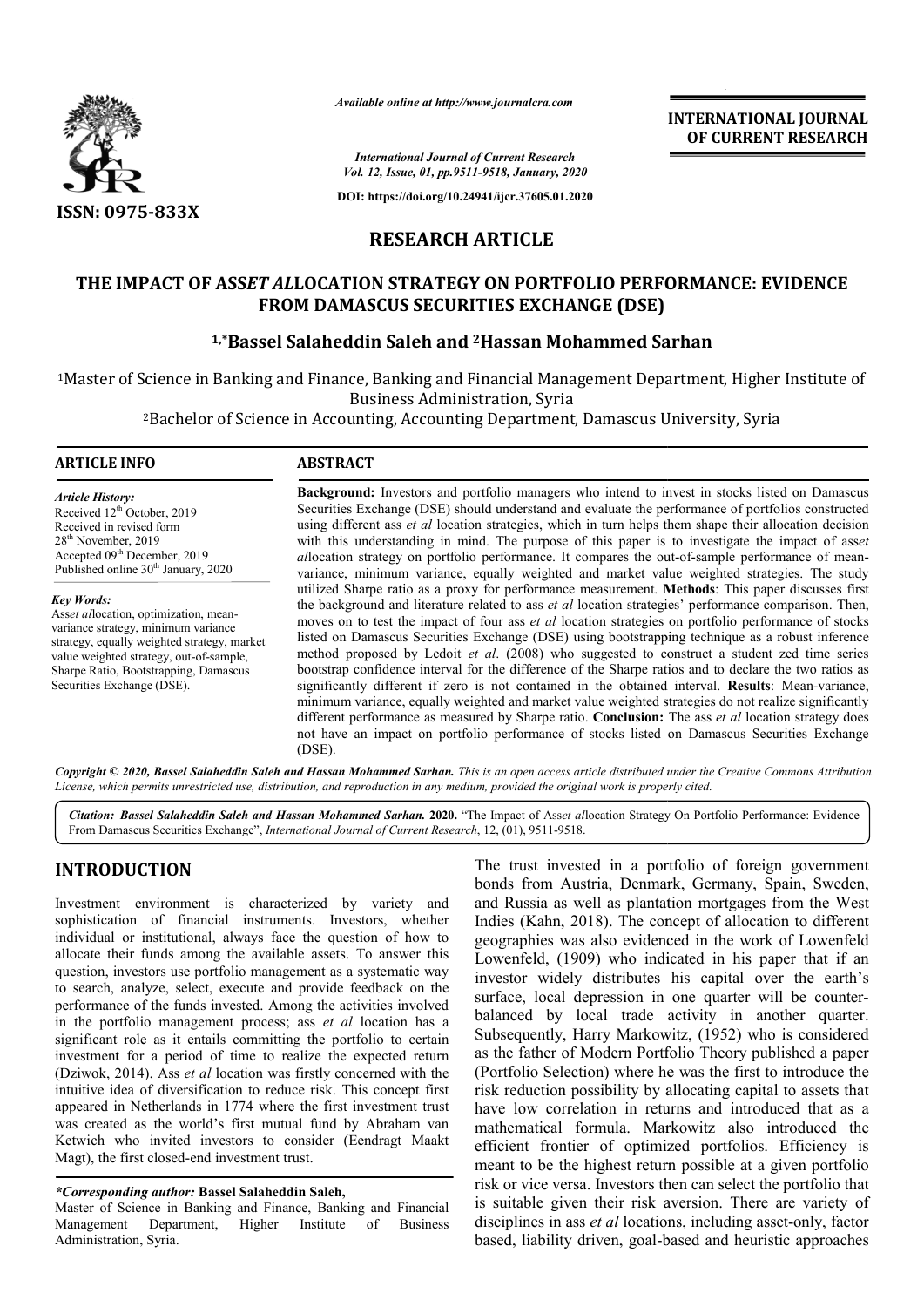

*Available online at http://www.journalcra.com*

**INTERNATIONAL JOURNAL OF CURRENT RESEARCH**

*International Journal of Current Research Vol. 12, Issue, 01, pp.9511-9518, January, 2020*

**DOI: https://doi.org/10.24941/ijcr.37605.01.2020**

## **RESEARCH ARTICLE**

## **THE IMPACT OF ASS***ET AL***LOCATION STRATEGY ON PORTFOLIO PERFORMANCE: EVIDENCE FROM DAMASCUS SECURITIES EXCHANGE (DSE)**

# **1,\*Bassel Salaheddin Saleh and Bassel 2Hassan Mohammed Sarhan Hassan**

<sup>1</sup>Master of Science in Banking and Finance, Banking and Financial Management Department, Higher Institute of icience in Banking and Finance, Banking and Financial Management Department, Higher<br>Business Administration, Syria<br>Bachelor of Science in Accounting, Accounting Department, Damascus University, Syria<sup>2</sup> Business Administration, Syria

#### **ARTICLE INFO ABSTRACT**

*Article History:* Received 12<sup>th</sup> October, 2019 Received in revised form 28th November, 2019 Accepted 09<sup>th</sup> December, 2019 Published online 30<sup>th</sup> January, 2020

*Key Words:* Ass*et al*location, optimization, meanvariance strategy, minimum variance strategy, equally weighted strategy, market value weighted strategy, out-of-sample, Sharpe Ratio, Bootstrapping, Damascus Securities Exchange (DSE).

**Background:**  Investors and portfolio managers who intend to invest in stocks listed on Damascus Securities Exchange (DSE) should understand and evaluate the performance of portfolios constructed using different ass et al location strategies, which in turn helps them shape their allocation decision with this understanding in mind. The purpose of this paper is to investigate the impact of asset allocation strategy on portfolio performance. It compares the out-of-sample performance of meanvariance, minimum variance, equally weighted and market value weighted strategies. The study variance, minimum variance, equally weighted and market value weighted strategies. The study utilized Sharpe ratio as a proxy for performance measurement. **Methods**: This paper discusses first the background and literature related to ass *et al* location strategies' performance comparison. Then, moves on to test the impact of four ass *et al* location strategies on portfolio performance of stocks listed on Damascus Securities Exchange (DSE) using bootstrapping technique as a robust inference method proposed by Ledoit *et al*. (2008) who suggested to construct a bootstrap confidence interval for the difference of the Sharpe ratios and to declare the two ratios as bootstrap confidence interval for the difference of the Sharpe ratios and to declare the two ratios as significantly different if zero is not contained in the obtained interval. **Results**: Mean-variance, minimum variance, equally weighted and market value weighted strategies do not realize significantly minimum variance, equally weighted and market value weighted strategies do not realize significantly different performance as measured by Sharpe ratio. **Conclusion:** The ass *et al* location strategy does not have an impact on portfolio performance of stocks listed on Damascus Securities Exchange (DSE). **Background:** Investors and portfolio managers who intend to invest in stocks listed on Damascus Securities Exchange (DSE) should understand and evaluate the performance of portfolios constructed using different ass *et al* al location strategies' performance comparison. Then, ocation strategies on portfolio performance of stocks<br>) using bootstrapping technique as a robust inference<br>no suggested to construct a student zed time series

Copyright © 2020, Bassel Salaheddin Saleh and Hassan Mohammed Sarhan. This is an open access article distributed under the Creative Commons Attribution License, which permits unrestricted use, distribution, and reproduction in any medium, provided the original work is properly cited.

Citation: Bassel Salaheddin Saleh and Hassan Mohammed Sarhan. 2020. "The Impact of Asset allocation Strategy On Portfolio Performance: Evidence From Damascus Securities Exchange", *International Journal of Current Research*, 12, (01), 9511-9518.

## **INTRODUCTION**

Investment environment is characterized by variety and sophistication of financial instruments. Investors, whether individual or institutional, always face the question of how to allocate their funds among the available assets. To answer this question, investors use portfolio management as a systematic way to search, analyze, select, execute and provide feedback on the performance of the funds invested. Among the activities involved in the portfolio management process; ass *et al* location has a significant role as it entails committing the portfolio to certain investment for a period of time to realize the expected return (Dziwok, 2014). Ass *et al* location was firstly concerned with the intuitive idea of diversification to reduce risk. This concept first appeared in Netherlands in 1774 where the first investment trust was created as the world's first mutual fund by Abraham van Ketwich who invited investors to consider (Eendragt Maakt Magt), the first closed-end investment trust.

#### *\*Corresponding author:* **Bassel Salaheddin Saleh Saleh,**

Master of Science in Banking and Finance, Banking and Financial Management Department, Higher Institute of Business Administration, Syria.

The trust invested in a portfolio of foreign government bonds from Austria, Denmark, Germany, Spain, Sweden, and Russia as well as plantation mortgages from the West Indies (Kahn, 2018). The concept of allocation to different geographies was also evidenced in the work of Lowenfeld Lowenfeld, (1909) who indicated in his paper that if an investor widely distributes his capital over the earth's surface, local depression in one quarter will be counterbalanced by local trade activity in another quarter. balanced by local trade activity in another quarter.<br>Subsequently, Harry Markowitz, (1952) who is considered as the father of Modern Portfolio Theory published a paper (Portfolio Selection) where he was the first to introduce the risk reduction possibility by allocating capital to assets that have low correlation in returns and introduced that as a mathematical formula. Markowitz also introduced the efficient frontier of optimized portfolios. Efficiency is meant to be the highest return possible at a given portfolio risk or vice versa. Investors then can select the portfolio that risk or vice versa. Investors then can select the portfolio that is suitable given their risk aversion. There are variety of disciplines in ass *et al* locations, including asset-only, factor based, liability driven, goal-based and heuris based heuristic approaches The trust invested in a portfolio of foreign government<br>bonds from Austria, Denmark, Germany, Spain, Sweden,<br>and Russia as well as plantation mortgages from the West<br>Indies (Kahn, 2018). The concept of allocation to differ as the father of Modern Portfolio Theory published a paper (Portfolio Selection) where he was the first to introduce the risk reduction possibility by allocating capital to assets that have low correlation in returns and i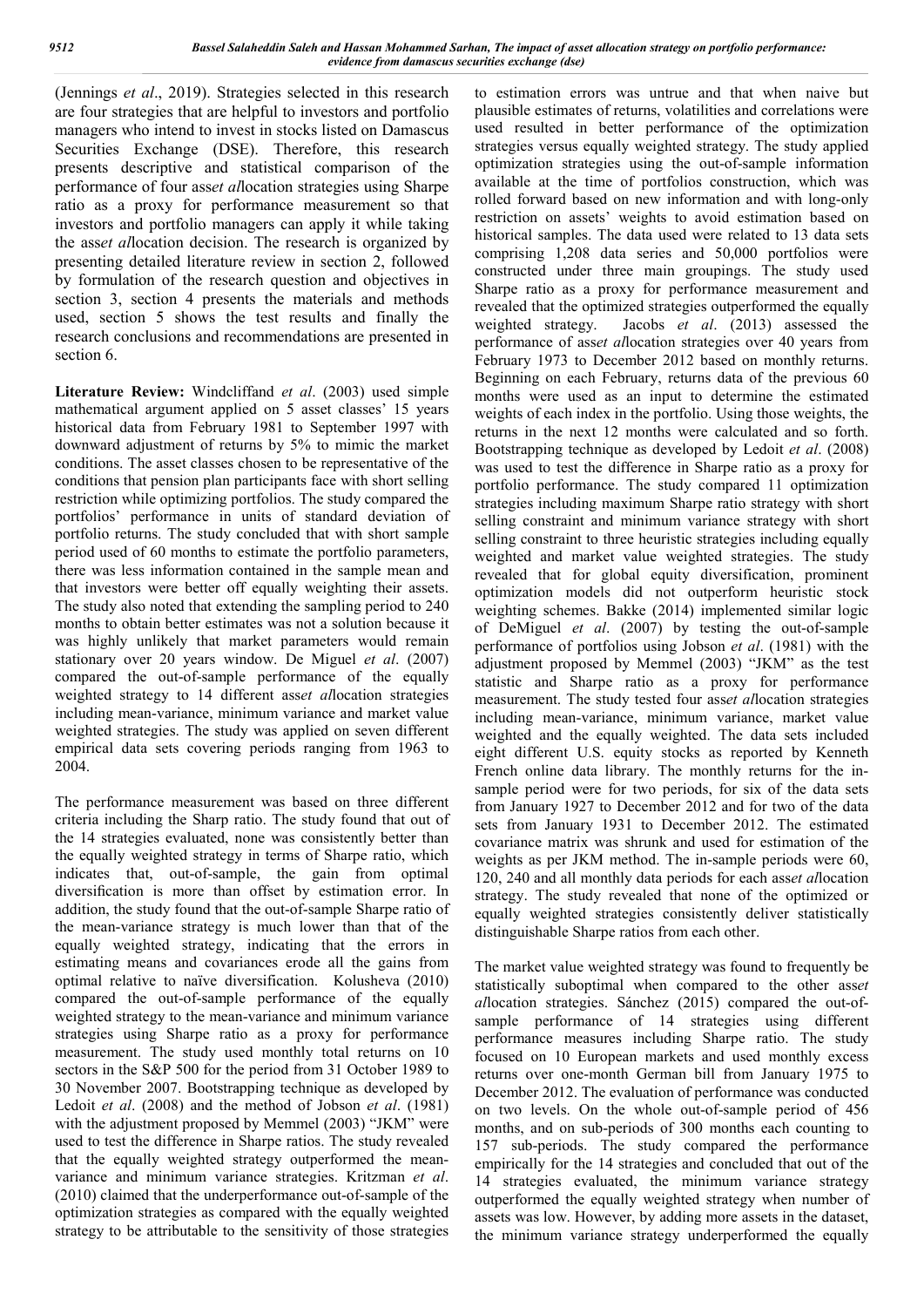(Jennings *et al*., 2019). Strategies selected in this research are four strategies that are helpful to investors and portfolio managers who intend to invest in stocks listed on Damascus Securities Exchange (DSE). Therefore, this research presents descriptive and statistical comparison of the performance of four ass*et al*location strategies using Sharpe ratio as a proxy for performance measurement so that investors and portfolio managers can apply it while taking the ass*et al*location decision. The research is organized by presenting detailed literature review in section 2, followed by formulation of the research question and objectives in section 3, section 4 presents the materials and methods used, section 5 shows the test results and finally the research conclusions and recommendations are presented in section 6.

**Literature Review:** Windcliffand *et al*. (2003) used simple mathematical argument applied on 5 asset classes' 15 years historical data from February 1981 to September 1997 with downward adjustment of returns by 5% to mimic the market conditions. The asset classes chosen to be representative of the conditions that pension plan participants face with short selling restriction while optimizing portfolios. The study compared the portfolios' performance in units of standard deviation of portfolio returns. The study concluded that with short sample period used of 60 months to estimate the portfolio parameters, there was less information contained in the sample mean and that investors were better off equally weighting their assets. The study also noted that extending the sampling period to 240 months to obtain better estimates was not a solution because it was highly unlikely that market parameters would remain stationary over 20 years window. De Miguel *et al*. (2007) compared the out-of-sample performance of the equally weighted strategy to 14 different ass*et al*location strategies including mean-variance, minimum variance and market value weighted strategies. The study was applied on seven different empirical data sets covering periods ranging from 1963 to 2004.

The performance measurement was based on three different criteria including the Sharp ratio. The study found that out of the 14 strategies evaluated, none was consistently better than the equally weighted strategy in terms of Sharpe ratio, which indicates that, out-of-sample, the gain from optimal diversification is more than offset by estimation error. In addition, the study found that the out-of-sample Sharpe ratio of the mean-variance strategy is much lower than that of the equally weighted strategy, indicating that the errors in estimating means and covariances erode all the gains from optimal relative to naïve diversification. Kolusheva (2010) compared the out-of-sample performance of the equally weighted strategy to the mean-variance and minimum variance strategies using Sharpe ratio as a proxy for performance measurement. The study used monthly total returns on 10 sectors in the S&P 500 for the period from 31 October 1989 to 30 November 2007. Bootstrapping technique as developed by Ledoit *et al*. (2008) and the method of Jobson *et al*. (1981) with the adjustment proposed by Memmel (2003) "JKM" were used to test the difference in Sharpe ratios. The study revealed that the equally weighted strategy outperformed the meanvariance and minimum variance strategies. Kritzman *et al*. (2010) claimed that the underperformance out-of-sample of the optimization strategies as compared with the equally weighted strategy to be attributable to the sensitivity of those strategies

to estimation errors was untrue and that when naive but plausible estimates of returns, volatilities and correlations were used resulted in better performance of the optimization strategies versus equally weighted strategy. The study applied optimization strategies using the out-of-sample information available at the time of portfolios construction, which was rolled forward based on new information and with long-only restriction on assets' weights to avoid estimation based on historical samples. The data used were related to 13 data sets comprising 1,208 data series and 50,000 portfolios were constructed under three main groupings. The study used Sharpe ratio as a proxy for performance measurement and revealed that the optimized strategies outperformed the equally weighted strategy. Jacobs *et al*. (2013) assessed the performance of ass*et al*location strategies over 40 years from February 1973 to December 2012 based on monthly returns. Beginning on each February, returns data of the previous 60 months were used as an input to determine the estimated weights of each index in the portfolio. Using those weights, the returns in the next 12 months were calculated and so forth. Bootstrapping technique as developed by Ledoit *et al*. (2008) was used to test the difference in Sharpe ratio as a proxy for portfolio performance. The study compared 11 optimization strategies including maximum Sharpe ratio strategy with short selling constraint and minimum variance strategy with short selling constraint to three heuristic strategies including equally weighted and market value weighted strategies. The study revealed that for global equity diversification, prominent optimization models did not outperform heuristic stock weighting schemes. Bakke (2014) implemented similar logic of DeMiguel *et al*. (2007) by testing the out-of-sample performance of portfolios using Jobson *et al*. (1981) with the adjustment proposed by Memmel (2003) "JKM" as the test statistic and Sharpe ratio as a proxy for performance measurement. The study tested four ass*et al*location strategies including mean-variance, minimum variance, market value weighted and the equally weighted. The data sets included eight different U.S. equity stocks as reported by Kenneth French online data library. The monthly returns for the insample period were for two periods, for six of the data sets from January 1927 to December 2012 and for two of the data sets from January 1931 to December 2012. The estimated covariance matrix was shrunk and used for estimation of the weights as per JKM method. The in-sample periods were 60, 120, 240 and all monthly data periods for each ass*et al*location strategy. The study revealed that none of the optimized or equally weighted strategies consistently deliver statistically distinguishable Sharpe ratios from each other.

The market value weighted strategy was found to frequently be statistically suboptimal when compared to the other ass*et al*location strategies. Sánchez (2015) compared the out-ofsample performance of 14 strategies using different performance measures including Sharpe ratio. The study focused on 10 European markets and used monthly excess returns over one-month German bill from January 1975 to December 2012. The evaluation of performance was conducted on two levels. On the whole out-of-sample period of 456 months, and on sub-periods of 300 months each counting to 157 sub-periods. The study compared the performance empirically for the 14 strategies and concluded that out of the 14 strategies evaluated, the minimum variance strategy outperformed the equally weighted strategy when number of assets was low. However, by adding more assets in the dataset, the minimum variance strategy underperformed the equally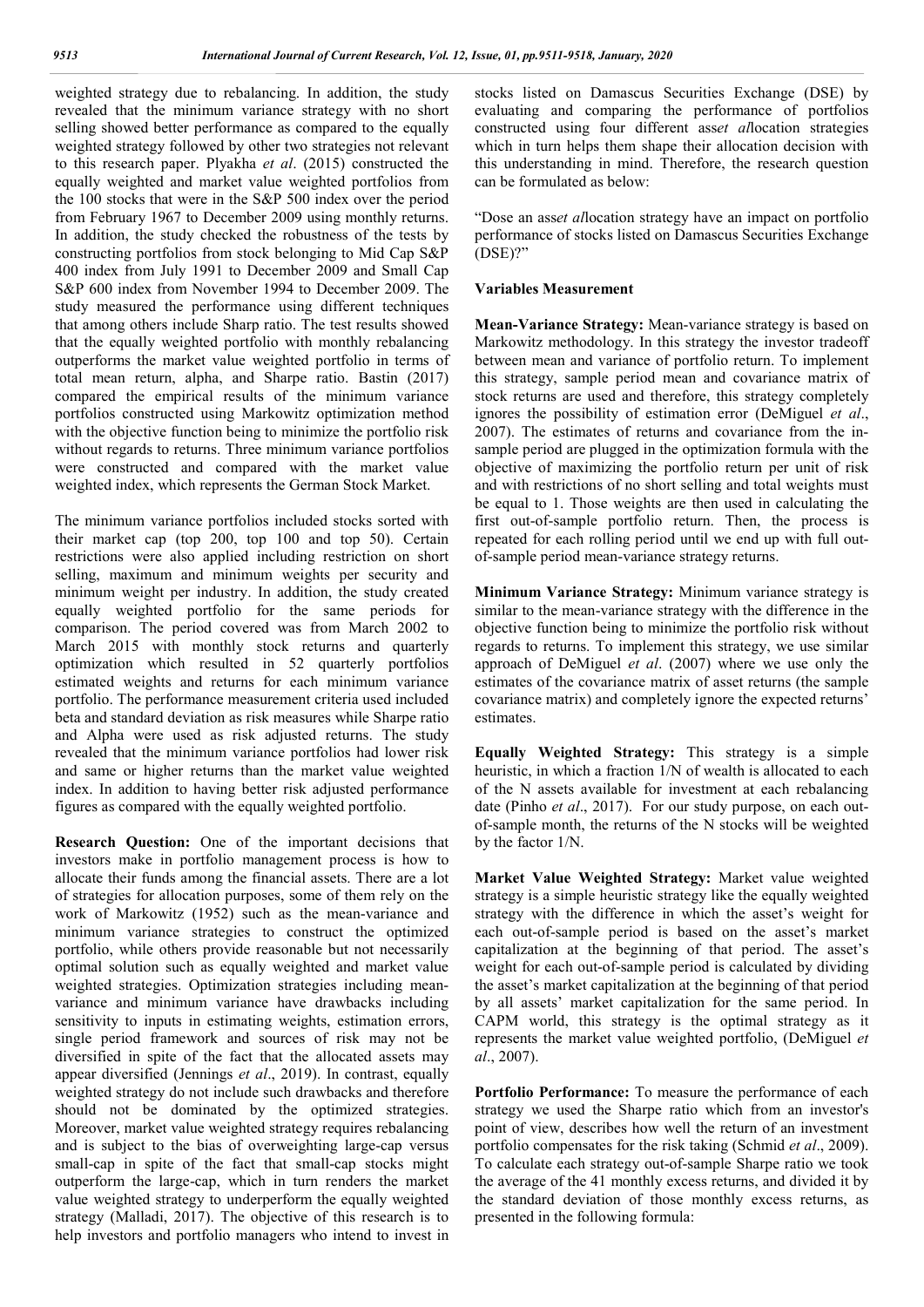weighted strategy due to rebalancing. In addition, the study revealed that the minimum variance strategy with no short selling showed better performance as compared to the equally weighted strategy followed by other two strategies not relevant to this research paper. Plyakha *et al*. (2015) constructed the equally weighted and market value weighted portfolios from the 100 stocks that were in the S&P 500 index over the period from February 1967 to December 2009 using monthly returns. In addition, the study checked the robustness of the tests by constructing portfolios from stock belonging to Mid Cap S&P 400 index from July 1991 to December 2009 and Small Cap S&P 600 index from November 1994 to December 2009. The study measured the performance using different techniques that among others include Sharp ratio. The test results showed that the equally weighted portfolio with monthly rebalancing outperforms the market value weighted portfolio in terms of total mean return, alpha, and Sharpe ratio. Bastin (2017) compared the empirical results of the minimum variance portfolios constructed using Markowitz optimization method with the objective function being to minimize the portfolio risk without regards to returns. Three minimum variance portfolios were constructed and compared with the market value weighted index, which represents the German Stock Market.

The minimum variance portfolios included stocks sorted with their market cap (top 200, top 100 and top 50). Certain restrictions were also applied including restriction on short selling, maximum and minimum weights per security and minimum weight per industry. In addition, the study created equally weighted portfolio for the same periods for comparison. The period covered was from March 2002 to March 2015 with monthly stock returns and quarterly optimization which resulted in 52 quarterly portfolios estimated weights and returns for each minimum variance portfolio. The performance measurement criteria used included beta and standard deviation as risk measures while Sharpe ratio and Alpha were used as risk adjusted returns. The study revealed that the minimum variance portfolios had lower risk and same or higher returns than the market value weighted index. In addition to having better risk adjusted performance figures as compared with the equally weighted portfolio.

**Research Question:** One of the important decisions that investors make in portfolio management process is how to allocate their funds among the financial assets. There are a lot of strategies for allocation purposes, some of them rely on the work of Markowitz (1952) such as the mean-variance and minimum variance strategies to construct the optimized portfolio, while others provide reasonable but not necessarily optimal solution such as equally weighted and market value weighted strategies. Optimization strategies including meanvariance and minimum variance have drawbacks including sensitivity to inputs in estimating weights, estimation errors, single period framework and sources of risk may not be diversified in spite of the fact that the allocated assets may appear diversified (Jennings *et al*., 2019). In contrast, equally weighted strategy do not include such drawbacks and therefore should not be dominated by the optimized strategies. Moreover, market value weighted strategy requires rebalancing and is subject to the bias of overweighting large-cap versus small-cap in spite of the fact that small-cap stocks might outperform the large-cap, which in turn renders the market value weighted strategy to underperform the equally weighted strategy (Malladi, 2017). The objective of this research is to help investors and portfolio managers who intend to invest in

stocks listed on Damascus Securities Exchange (DSE) by evaluating and comparing the performance of portfolios constructed using four different ass*et al*location strategies which in turn helps them shape their allocation decision with this understanding in mind. Therefore, the research question can be formulated as below:

"Dose an ass*et al*location strategy have an impact on portfolio performance of stocks listed on Damascus Securities Exchange (DSE)?"

#### **Variables Measurement**

**Mean-Variance Strategy:** Mean-variance strategy is based on Markowitz methodology. In this strategy the investor tradeoff between mean and variance of portfolio return. To implement this strategy, sample period mean and covariance matrix of stock returns are used and therefore, this strategy completely ignores the possibility of estimation error (DeMiguel *et al*., 2007). The estimates of returns and covariance from the insample period are plugged in the optimization formula with the objective of maximizing the portfolio return per unit of risk and with restrictions of no short selling and total weights must be equal to 1. Those weights are then used in calculating the first out-of-sample portfolio return. Then, the process is repeated for each rolling period until we end up with full outof-sample period mean-variance strategy returns.

**Minimum Variance Strategy:** Minimum variance strategy is similar to the mean-variance strategy with the difference in the objective function being to minimize the portfolio risk without regards to returns. To implement this strategy, we use similar approach of DeMiguel *et al*. (2007) where we use only the estimates of the covariance matrix of asset returns (the sample covariance matrix) and completely ignore the expected returns' estimates.

**Equally Weighted Strategy:** This strategy is a simple heuristic, in which a fraction 1/N of wealth is allocated to each of the N assets available for investment at each rebalancing date (Pinho *et al*., 2017). For our study purpose, on each outof-sample month, the returns of the N stocks will be weighted by the factor 1/N.

**Market Value Weighted Strategy:** Market value weighted strategy is a simple heuristic strategy like the equally weighted strategy with the difference in which the asset's weight for each out-of-sample period is based on the asset's market capitalization at the beginning of that period. The asset's weight for each out-of-sample period is calculated by dividing the asset's market capitalization at the beginning of that period by all assets' market capitalization for the same period. In CAPM world, this strategy is the optimal strategy as it represents the market value weighted portfolio, (DeMiguel *et al*., 2007).

**Portfolio Performance:** To measure the performance of each strategy we used the Sharpe ratio which from an investor's point of view, describes how well the return of an investment portfolio compensates for the risk taking (Schmid *et al*., 2009). To calculate each strategy out-of-sample Sharpe ratio we took the average of the 41 monthly excess returns, and divided it by the standard deviation of those monthly excess returns, as presented in the following formula: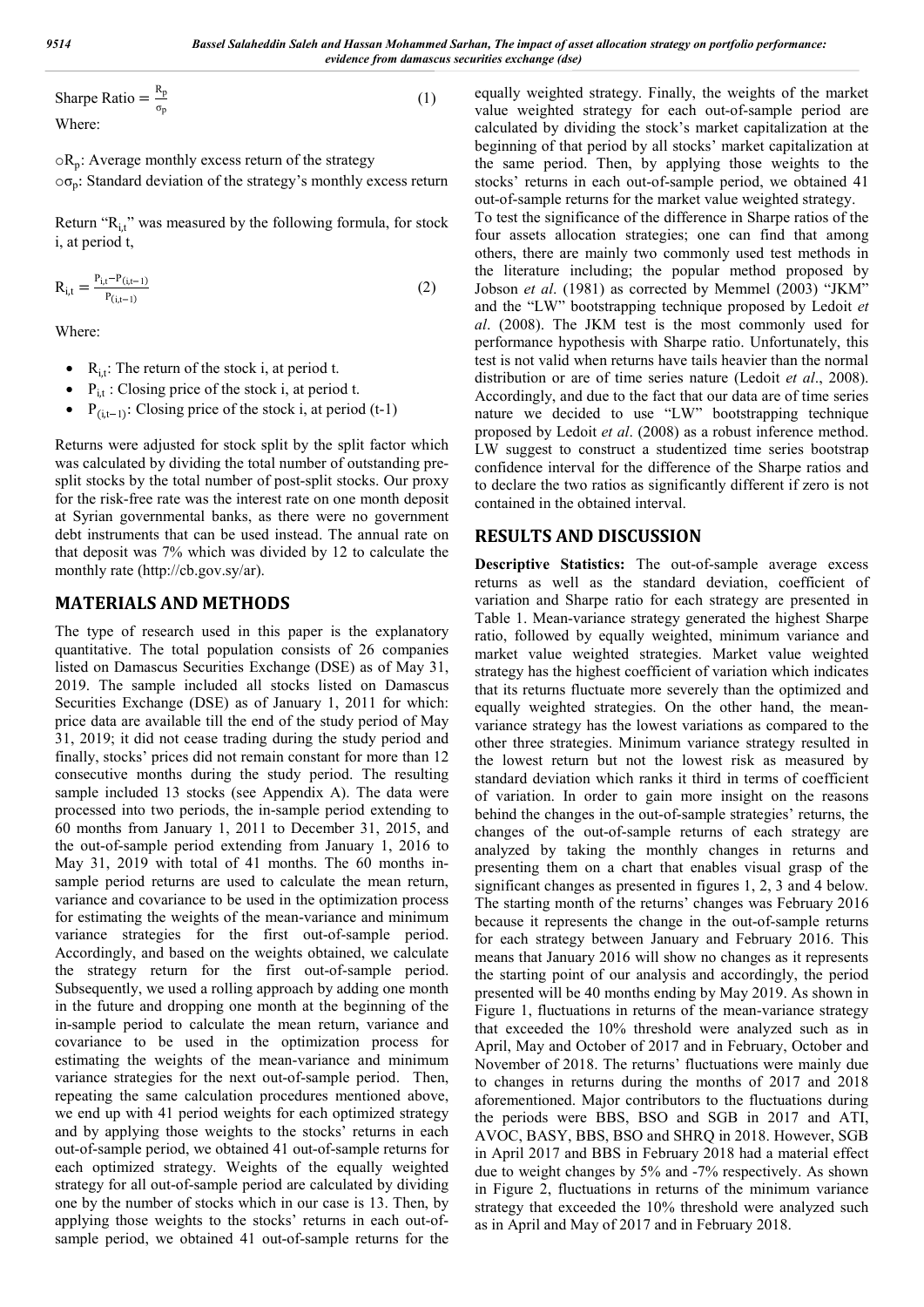Sharpe Ratio =  $\frac{R_p}{\sigma_p}$ (1) Where:

 $\circ R_p$ : Average monthly excess return of the strategy  $\circ \sigma_n$ : Standard deviation of the strategy's monthly excess return

Return "R<sub>it</sub>" was measured by the following formula, for stock i, at period t,

$$
R_{i,t} = \frac{P_{i,t} - P_{(i,t-1)}}{P_{(i,t-1)}}
$$
(2)

Where:

- $R_{i,t}$ : The return of the stock i, at period t.
- $\bullet$  P<sub>it</sub>: Closing price of the stock i, at period t.
- $P_{(i,t-1)}$ : Closing price of the stock i, at period (t-1)

Returns were adjusted for stock split by the split factor which was calculated by dividing the total number of outstanding presplit stocks by the total number of post-split stocks. Our proxy for the risk-free rate was the interest rate on one month deposit at Syrian governmental banks, as there were no government debt instruments that can be used instead. The annual rate on that deposit was 7% which was divided by 12 to calculate the monthly rate (http://cb.gov.sy/ar).

## **MATERIALS AND METHODS**

The type of research used in this paper is the explanatory quantitative. The total population consists of 26 companies listed on Damascus Securities Exchange (DSE) as of May 31, 2019. The sample included all stocks listed on Damascus Securities Exchange (DSE) as of January 1, 2011 for which: price data are available till the end of the study period of May 31, 2019; it did not cease trading during the study period and finally, stocks' prices did not remain constant for more than 12 consecutive months during the study period. The resulting sample included 13 stocks (see Appendix A). The data were processed into two periods, the in-sample period extending to 60 months from January 1, 2011 to December 31, 2015, and the out-of-sample period extending from January 1, 2016 to May 31, 2019 with total of 41 months. The 60 months insample period returns are used to calculate the mean return, variance and covariance to be used in the optimization process for estimating the weights of the mean-variance and minimum variance strategies for the first out-of-sample period. Accordingly, and based on the weights obtained, we calculate the strategy return for the first out-of-sample period. Subsequently, we used a rolling approach by adding one month in the future and dropping one month at the beginning of the in-sample period to calculate the mean return, variance and covariance to be used in the optimization process for estimating the weights of the mean-variance and minimum variance strategies for the next out-of-sample period. Then, repeating the same calculation procedures mentioned above, we end up with 41 period weights for each optimized strategy and by applying those weights to the stocks' returns in each out-of-sample period, we obtained 41 out-of-sample returns for each optimized strategy. Weights of the equally weighted strategy for all out-of-sample period are calculated by dividing one by the number of stocks which in our case is 13. Then, by applying those weights to the stocks' returns in each out-ofsample period, we obtained 41 out-of-sample returns for the

equally weighted strategy. Finally, the weights of the market value weighted strategy for each out-of-sample period are calculated by dividing the stock's market capitalization at the beginning of that period by all stocks' market capitalization at the same period. Then, by applying those weights to the stocks' returns in each out-of-sample period, we obtained 41 out-of-sample returns for the market value weighted strategy. To test the significance of the difference in Sharpe ratios of the four assets allocation strategies; one can find that among others, there are mainly two commonly used test methods in the literature including; the popular method proposed by Jobson *et al*. (1981) as corrected by Memmel (2003) "JKM" and the "LW" bootstrapping technique proposed by Ledoit *et al*. (2008). The JKM test is the most commonly used for performance hypothesis with Sharpe ratio. Unfortunately, this test is not valid when returns have tails heavier than the normal distribution or are of time series nature (Ledoit *et al*., 2008). Accordingly, and due to the fact that our data are of time series nature we decided to use "LW" bootstrapping technique proposed by Ledoit *et al*. (2008) as a robust inference method. LW suggest to construct a studentized time series bootstrap confidence interval for the difference of the Sharpe ratios and to declare the two ratios as significantly different if zero is not contained in the obtained interval.

# **RESULTS AND DISCUSSION**

**Descriptive Statistics:** The out-of-sample average excess returns as well as the standard deviation, coefficient of variation and Sharpe ratio for each strategy are presented in Table 1. Mean-variance strategy generated the highest Sharpe ratio, followed by equally weighted, minimum variance and market value weighted strategies. Market value weighted strategy has the highest coefficient of variation which indicates that its returns fluctuate more severely than the optimized and equally weighted strategies. On the other hand, the meanvariance strategy has the lowest variations as compared to the other three strategies. Minimum variance strategy resulted in the lowest return but not the lowest risk as measured by standard deviation which ranks it third in terms of coefficient of variation. In order to gain more insight on the reasons behind the changes in the out-of-sample strategies' returns, the changes of the out-of-sample returns of each strategy are analyzed by taking the monthly changes in returns and presenting them on a chart that enables visual grasp of the significant changes as presented in figures 1, 2, 3 and 4 below. The starting month of the returns' changes was February 2016 because it represents the change in the out-of-sample returns for each strategy between January and February 2016. This means that January 2016 will show no changes as it represents the starting point of our analysis and accordingly, the period presented will be 40 months ending by May 2019. As shown in Figure 1, fluctuations in returns of the mean-variance strategy that exceeded the 10% threshold were analyzed such as in April, May and October of 2017 and in February, October and November of 2018. The returns' fluctuations were mainly due to changes in returns during the months of 2017 and 2018 aforementioned. Major contributors to the fluctuations during the periods were BBS, BSO and SGB in 2017 and ATI, AVOC, BASY, BBS, BSO and SHRQ in 2018. However, SGB in April 2017 and BBS in February 2018 had a material effect due to weight changes by 5% and -7% respectively. As shown in Figure 2, fluctuations in returns of the minimum variance strategy that exceeded the 10% threshold were analyzed such as in April and May of 2017 and in February 2018.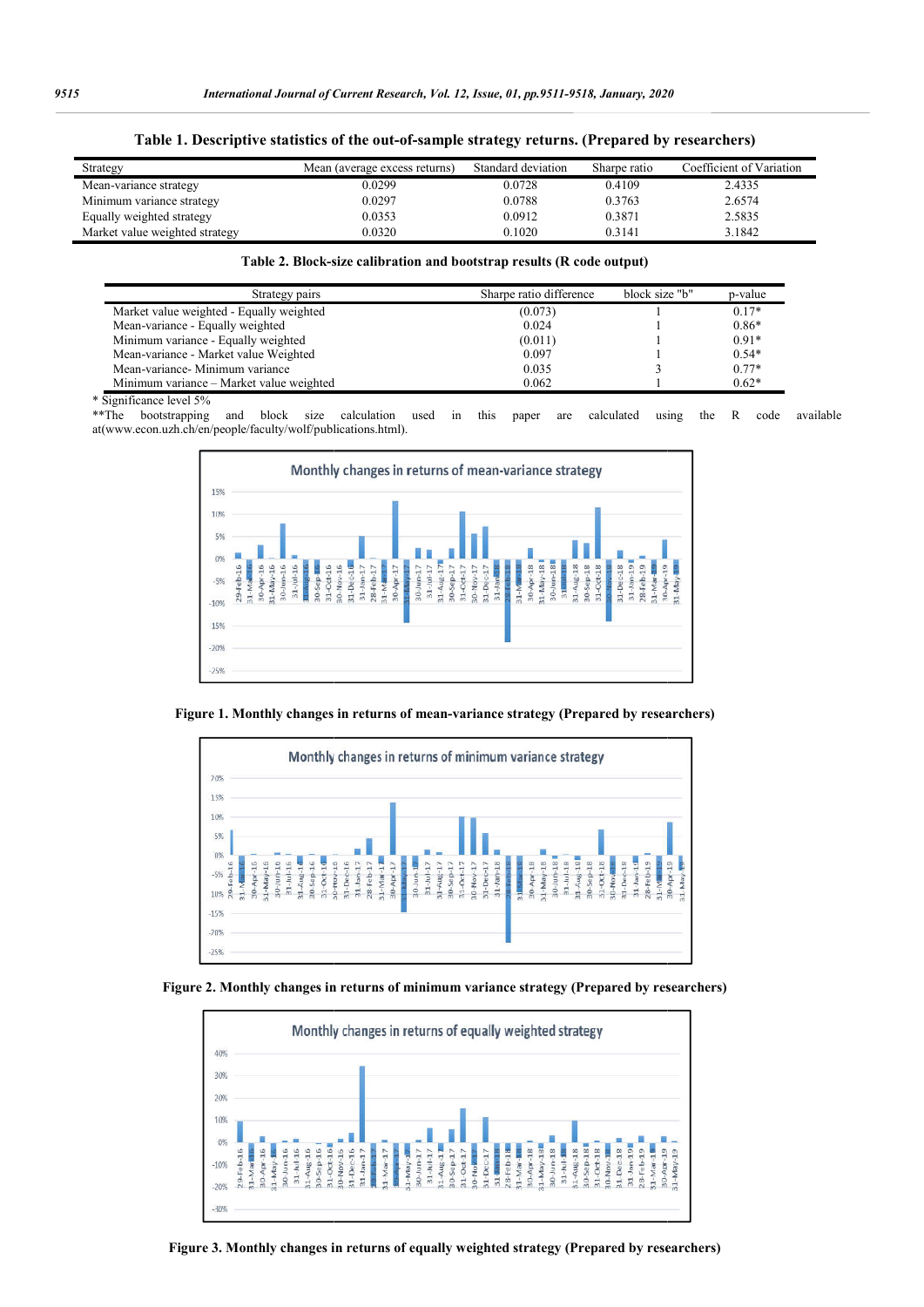|  |  | Table 1. Descriptive statistics of the out-of-sample strategy returns. (Prepared by researchers) |  |  |  |
|--|--|--------------------------------------------------------------------------------------------------|--|--|--|
|  |  |                                                                                                  |  |  |  |

| Strategy                       | Mean (average excess returns) | Standard deviation | Sharpe ratio | Coefficient of Variation |
|--------------------------------|-------------------------------|--------------------|--------------|--------------------------|
| Mean-variance strategy         | 0.0299                        | 0.0728             | 0.4109       | 2.4335                   |
| Minimum variance strategy      | 0.0297                        | 0.0788             | 0.3763       | 2.6574                   |
| Equally weighted strategy      | 0.0353                        | 0.0912             | 0.3871       | 2.5835                   |
| Market value weighted strategy | 0.0320                        | 0.1020             | 0.3141       | 3.1842                   |

#### **Table 2. Block-size ca size calibration and bootstrap results (R code output)**

| Strategy pairs                           | Sharpe ratio difference | block size "b" | p-value |
|------------------------------------------|-------------------------|----------------|---------|
| Market value weighted - Equally weighted | (0.073)                 |                | $0.17*$ |
| Mean-variance - Equally weighted         | 0.024                   |                | $0.86*$ |
| Minimum variance - Equally weighted      | (0.011)                 |                | $0.91*$ |
| Mean-variance - Market value Weighted    | 0.097                   |                | $0.54*$ |
| Mean-variance- Minimum variance          | 0.035                   |                | $0.77*$ |
| Minimum variance - Market value weighted | 0.062                   |                | $0.62*$ |

\* Significance level 5%

\*\*The bootstrapping and block size calculation used in this paper are calculated using the R code available at(www.econ.uzh.ch/en/people/faculty/wolf/publications.html). calculated



**Figure 1. Monthly changes in returns of mean mean-variance strategy (Prepared by researchers)**



**Figure 2. Monthly changes in returns of minimum variance strategy (Prepared by researchers)**



**Figure 3. Monthly changes in returns of equally weighted strategy (Prepared by researchers**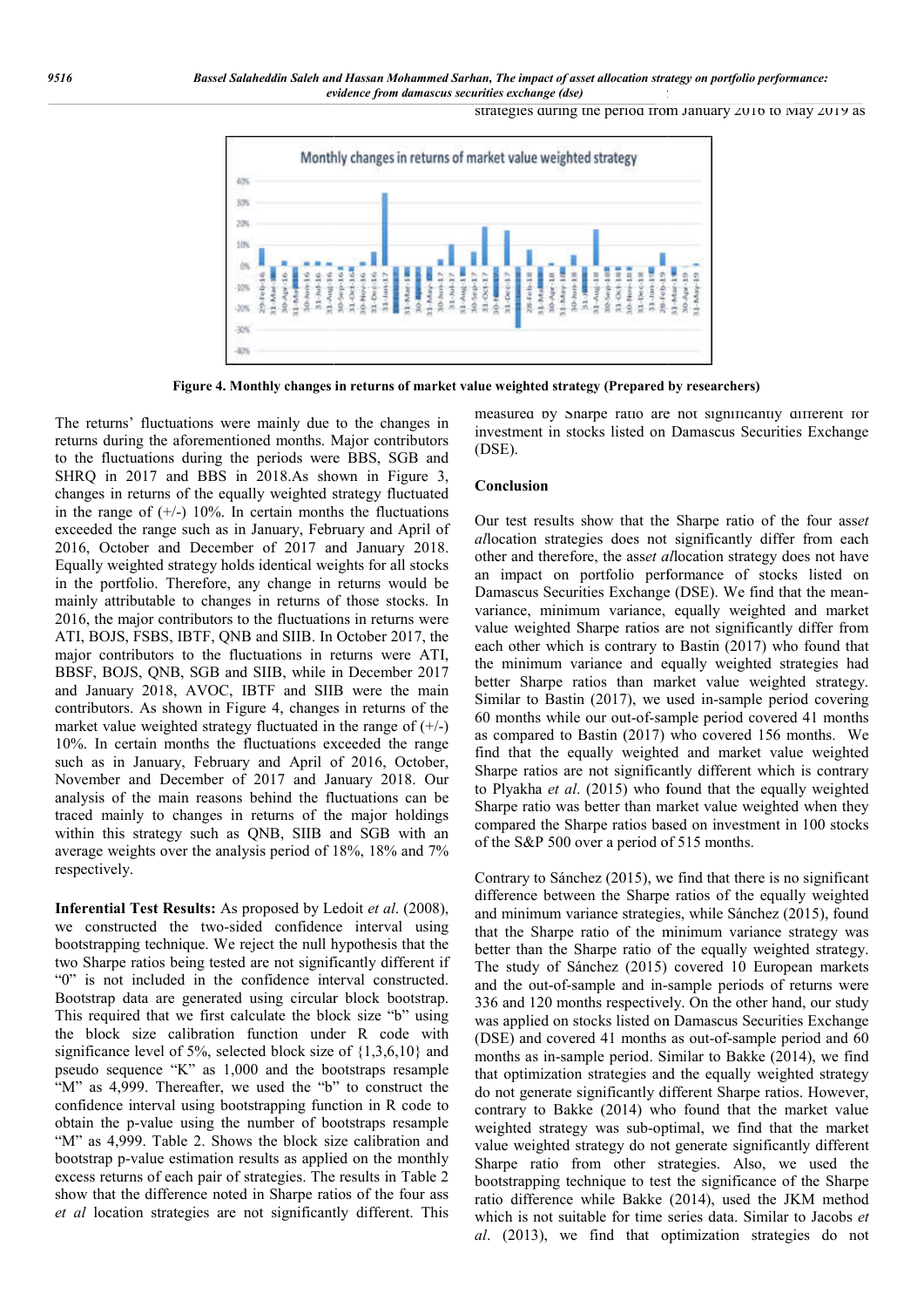inaties exchange (dse)<br>strategies during the period from January 2016 to May 2019 as



**Figure 4. Monthly changes in returns of market value weighted strategy (Prepared by researchers)**

The returns' fluctuations were mainly due to the changes in returns during the aforementioned months. Major contributors to the fluctuations during the periods were BBS, SGB and SHRQ in 2017 and BBS in 2018.As shown in Figure 3, changes in returns of the equally weighted strategy fluctuated in the range of  $(+/-)$  10%. In certain months the fluctuations exceeded the range such as in January, February and April of 2016, October and December of 2017 and January 2018. Equally weighted strategy holds identical weights for all stocks in the portfolio. Therefore, any change in returns would be in the range of (+/-) 10%. In certain months the fluctuations exceeded the range such as in January, February and April of 2016, October and December of 2017 and January 2018. Equally weighted strategy holds identical weig 2016, the major contributors to the fluctuations in returns were ATI, BOJS, FSBS, IBTF, QNB and SIIB. In October 2017, the major contributors to the fluctuations in returns were ATI, BBSF, BOJS, QNB, SGB and SIIB, while in December 2017 and January 2018, AVOC, IBTF and SIIB were the main contributors. As shown in Figure 4, changes in returns of the market value weighted strategy fluctuated in the range of  $(+/-)$ 10%. In certain months the fluctuations exceeded the range such as in January, February and April of 2016, October, November and December of 2017 and January 2018. Our analysis of the main reasons behind the fluctuations can be traced mainly to changes in returns of the major holdings within this strategy such as QNB, SIIB and SGB with an average weights over the analysis period of 18%, 18% and 7% respectively. return the measure continuous continuous energy of the out-of-sample performance of the out-of-sample performance of the out-of-sample performance of the out-of-sample performance of the out-of-sample performance of the o

**Inferential Test Results:** As proposed by Ledoit *et al*. (2008), we constructed the two-sided confidence interval using bootstrapping technique. We reject the null hypothesis that the two Sharpe ratios being tested are not significantly different if "0" is not included in the confidence interval constructed. Bootstrap data are generated using circular block bootstrap. This required that we first calculate the block size "b" using the block size calibration function under R code with significance level of 5%, selected block size of  $\{1,3,6,10\}$  and pseudo sequence "K" as 1,000 and the bootstraps resample "M" as 4,999. Thereafter, we used the "b" to construct the confidence interval using bootstrapping function in R code to obtain the p-value using the number of bootstraps resample "M" as 4,999. Table 2. Shows the block size calibration and bootstrap p-value estimation results as applied on the monthly excess returns of each pair of strategies. The results in Table 2 show that the difference noted in Sharpe ratios of the four ass *et al* location strategies are not significantly different. This

measured by Sharpe ratio are not significantly different for investment in stocks listed on Damascus Securities Exchange (DSE). ratio in stocks listed on Damascus Securities Exchange<br>in stocks listed on Damascus Securities Exchange<br>sults show that the Sharpe ratio of the four asset

#### **Conclusion**

Our test results show that the Sharpe ratio of the four asset *al*location strategies does not significantly differ from each allocation strategies does not significantly differ from each other and therefore, the asset allocation strategy does not have an impact on portfolio performance of stocks listed on an impact on portfolio performance of stocks listed on<br>Damascus Securities Exchange (DSE). We find that the meanvariance, minimum variance, equally weighted and market value weighted Sharpe ratios are not significantly differ from value weighted Sharpe ratios are not significantly differ from each other which is contrary to Bastin (2017) who found that the minimum variance and equally weighted strategies had the minimum variance and equally weighted strategies had<br>better Sharpe ratios than market value weighted strategy. Similar to Bastin (2017), we used in-sample period covering 60 months while our out-of-sample period covered 41 months as compared to Bastin (2017) who covered 156 months. We find that the equally weighted and market value weighted Sharpe ratios are not significantly different which is contrary to Plyakha *et al*. (2015) who found that the equally weighted Sharpe ratio was better than market value weighted when they compared the Sharpe ratios based on investment in 100 stocks of the S&P 500 over a period of 515 months. show while our out-of-sample period covered 41 months ed to Bastin (2017) who covered 156 months. We the equally weighted and market value weighted ios are not significantly different which is contrary  $\alpha$  *et al.* (2015

Contrary to Sánchez (2015), we find that there is no significant difference between the Sharpe ratios of the equally weighted and minimum variance strategies, while Sánchez ( that the Sharpe ratio of the minimum variance strategy was better than the Sharpe ratio of the equally weighted strategy. better than the Sharpe ratio of the equally weighted strategy.<br>The study of Sánchez (2015) covered 10 European markets and the out-of-sample and in-sample periods of returns were 336 and 120 months respectively. On the other hand, our study was applied on stocks listed on Damascus Securities Exchange was applied on stocks listed on Damascus Securities Exchange (DSE) and covered 41 months as out-of-sample period and 60 months as in-sample period. Similar to Bakke ( (2014), we find that optimization strategies and the equally weighted strategy do not generate significantly different Sharpe ratios. However, contrary to Bakke (2014) who found that the market value weighted strategy was sub-optimal, we find that the market value weighted strategy do not generate significantly different Sharpe ratio from other strategies. Also, we used the bootstrapping technique to test the significance of the Sharpe ratio difference while Bakke (2014), used the JKM method which is not suitable for time series data. Similar to Jacobs *et* al. (2013), we find that optimization strategies do not gies and the equally weighted strategy<br>antly different Sharpe ratios. However,<br>14) who found that the market value<br>sub-optimal, we find that the market<br> $v$  do not generate significantly different<br>ther strategies. Also, we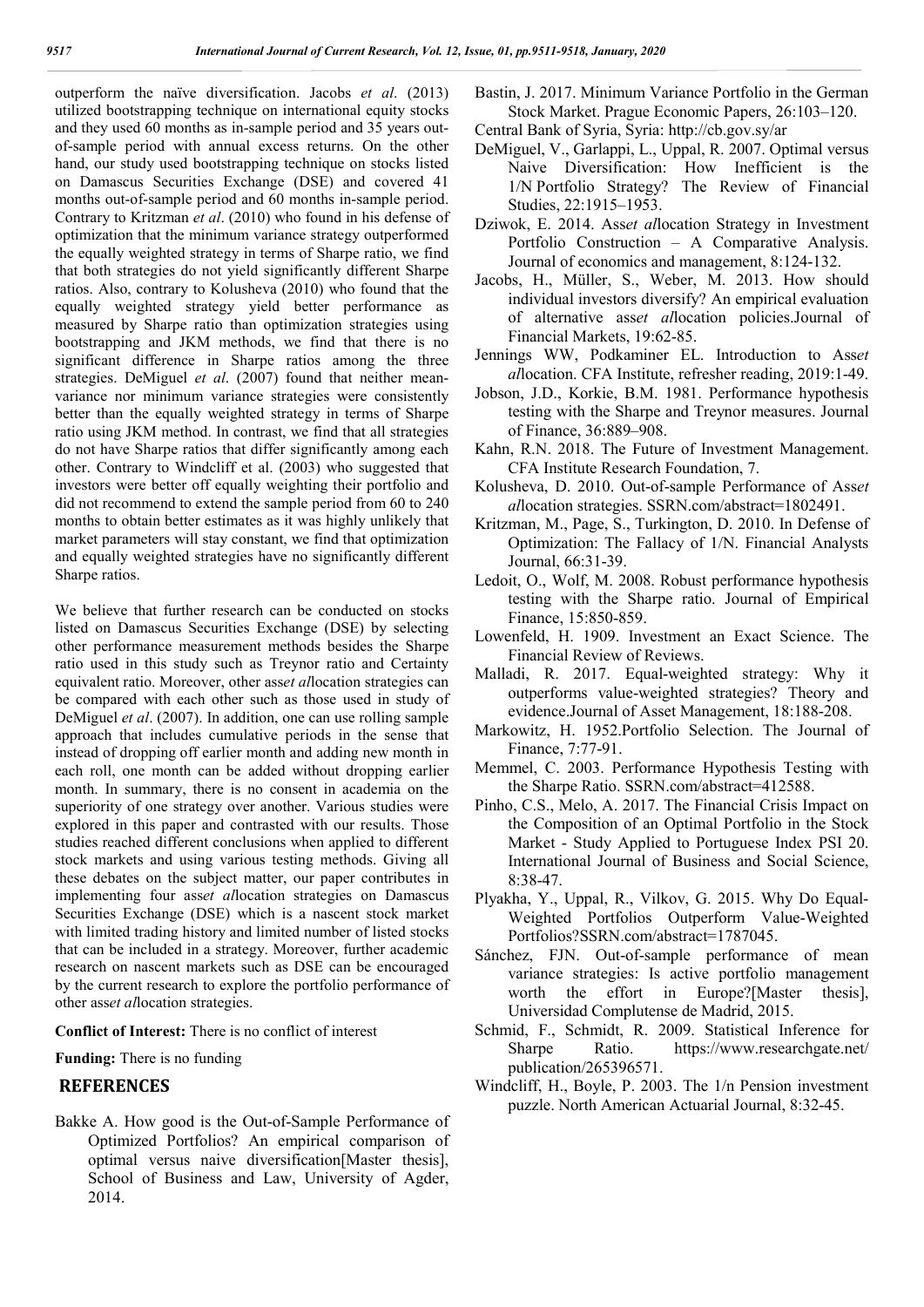outperform the naïve diversification. Jacobs *et al*. (2013) utilized bootstrapping technique on international equity stocks and they used 60 months as in-sample period and 35 years outof-sample period with annual excess returns. On the other hand, our study used bootstrapping technique on stocks listed on Damascus Securities Exchange (DSE) and covered 41 months out-of-sample period and 60 months in-sample period. Contrary to Kritzman *et al*. (2010) who found in his defense of optimization that the minimum variance strategy outperformed the equally weighted strategy in terms of Sharpe ratio, we find that both strategies do not yield significantly different Sharpe ratios. Also, contrary to Kolusheva (2010) who found that the equally weighted strategy yield better performance as measured by Sharpe ratio than optimization strategies using bootstrapping and JKM methods, we find that there is no significant difference in Sharpe ratios among the three strategies. DeMiguel *et al*. (2007) found that neither meanvariance nor minimum variance strategies were consistently better than the equally weighted strategy in terms of Sharpe ratio using JKM method. In contrast, we find that all strategies do not have Sharpe ratios that differ significantly among each other. Contrary to Windcliff et al. (2003) who suggested that investors were better off equally weighting their portfolio and did not recommend to extend the sample period from 60 to 240 months to obtain better estimates as it was highly unlikely that market parameters will stay constant, we find that optimization and equally weighted strategies have no significantly different Sharpe ratios.

We believe that further research can be conducted on stocks listed on Damascus Securities Exchange (DSE) by selecting other performance measurement methods besides the Sharpe ratio used in this study such as Treynor ratio and Certainty equivalent ratio. Moreover, other ass*et al*location strategies can be compared with each other such as those used in study of DeMiguel *et al*. (2007). In addition, one can use rolling sample approach that includes cumulative periods in the sense that instead of dropping off earlier month and adding new month in each roll, one month can be added without dropping earlier month. In summary, there is no consent in academia on the superiority of one strategy over another. Various studies were explored in this paper and contrasted with our results. Those studies reached different conclusions when applied to different stock markets and using various testing methods. Giving all these debates on the subject matter, our paper contributes in implementing four ass*et al*location strategies on Damascus Securities Exchange (DSE) which is a nascent stock market with limited trading history and limited number of listed stocks that can be included in a strategy. Moreover, further academic research on nascent markets such as DSE can be encouraged by the current research to explore the portfolio performance of other ass*et al*location strategies.

**Conflict of Interest:** There is no conflict of interest

#### **Funding:** There is no funding

### **REFERENCES**

Bakke A. How good is the Out-of-Sample Performance of Optimized Portfolios? An empirical comparison of optimal versus naive diversification[Master thesis], School of Business and Law, University of Agder, 2014.

- Bastin, J. 2017. Minimum Variance Portfolio in the German Stock Market. Prague Economic Papers, 26:103–120.
- Central Bank of Syria, Syria: http://cb.gov.sy/ar
- DeMiguel, V., Garlappi, L., Uppal, R. 2007. Optimal versus Naive Diversification: How Inefficient is the 1/N Portfolio Strategy? The Review of Financial Studies, 22:1915–1953.
- Dziwok, E. 2014. Ass*et al*location Strategy in Investment Portfolio Construction – A Comparative Analysis. Journal of economics and management, 8:124-132.
- Jacobs, H., Müller, S., Weber, M. 2013. How should individual investors diversify? An empirical evaluation of alternative ass*et al*location policies.Journal of Financial Markets, 19:62-85.
- Jennings WW, Podkaminer EL. Introduction to Ass*et al*location. CFA Institute, refresher reading, 2019:1-49.
- Jobson, J.D., Korkie, B.M. 1981. Performance hypothesis testing with the Sharpe and Treynor measures. Journal of Finance, 36:889–908.
- Kahn, R.N. 2018. The Future of Investment Management. CFA Institute Research Foundation, 7.
- Kolusheva, D. 2010. Out-of-sample Performance of Ass*et al*location strategies. SSRN.com/abstract=1802491.
- Kritzman, M., Page, S., Turkington, D. 2010. In Defense of Optimization: The Fallacy of 1/N. Financial Analysts Journal, 66:31-39.
- Ledoit, O., Wolf, M. 2008. Robust performance hypothesis testing with the Sharpe ratio. Journal of Empirical Finance, 15:850-859.
- Lowenfeld, H. 1909. Investment an Exact Science. The Financial Review of Reviews.
- Malladi, R. 2017. Equal-weighted strategy: Why it outperforms value-weighted strategies? Theory and evidence.Journal of Asset Management, 18:188-208.
- Markowitz, H. 1952.Portfolio Selection. The Journal of Finance, 7:77-91.
- Memmel, C. 2003. Performance Hypothesis Testing with the Sharpe Ratio. SSRN.com/abstract=412588.
- Pinho, C.S., Melo, A. 2017. The Financial Crisis Impact on the Composition of an Optimal Portfolio in the Stock Market - Study Applied to Portuguese Index PSI 20. International Journal of Business and Social Science, 8:38-47.
- Plyakha, Y., Uppal, R., Vilkov, G. 2015. Why Do Equal-Weighted Portfolios Outperform Value-Weighted Portfolios?SSRN.com/abstract=1787045.
- Sánchez, FJN. Out-of-sample performance of mean variance strategies: Is active portfolio management worth the effort in Europe?[Master thesis], Universidad Complutense de Madrid, 2015.
- Schmid, F., Schmidt, R. 2009. Statistical Inference for Sharpe Ratio. https://www.researchgate.net/ publication/265396571.
- Windcliff, H., Boyle, P. 2003. The 1/n Pension investment puzzle. North American Actuarial Journal, 8:32-45.